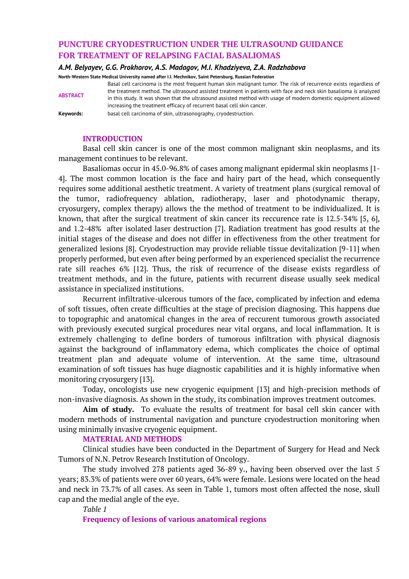# **PUNCTURE CRYODESTRUCTION UNDER THE ULTRASOUND GUIDANCE FOR TREATMENT OF RELAPSING FACIAL BASALIOMAS**

#### *A.M. Belyayev, G.G. Prokhorov, A.S. Madagov, M.I. Khadziyeva, Z.A. Radzhabova*

increasing the treatment efficacy of recurrent basal cell skin cancer.

**North-Western State Medical University named after I.I. Mechnikov, Saint Petersburg, Russian Federation**

**ABSTRACT**

**Keywords:** basal cell carcinoma of skin, ultrasonography, cryodestruction.

## **INTRODUCTION**

Basal cell skin cancer is one of the most common malignant skin neoplasms, and its management continues to be relevant.

Basal cell carcinoma is the most frequent human skin malignant tumor. The risk of recurrence exists regardless of the treatment method. The ultrasound assisted treatment in patients with face and neck skin basalioma is analyzed in this study. It was shown that the ultrasound assisted method with usage of modern domestic equipment allowed

Basaliomas occur in 45.0-96.8% of cases among malignant epidermal skin neoplasms [1- 4]. The most common location is the face and hairy part of the head, which consequently requires some additional aesthetic treatment. A variety of treatment plans (surgical removal of the tumor, radiofrequency ablation, radiotherapy, laser and photodynamic therapy, cryosurgery, complex therapy) allows the the method of treatment to be individualized. It is known, that after the surgical treatment of skin cancer its reccurence rate is 12.5-34% [5, 6], and 1.2-48% after isolated laser destruction [7]. Radiation treatment has good results at the initial stages of the disease and does not differ in effectiveness from the other treatment for generalized lesions [8]. Cryodestruction may provide reliable tissue devitalization [9-11] when properly performed, but even after being performed by an experienced specialist the recurrence rate sill reaches 6% [12]. Thus, the risk of recurrence of the disease exists regardless of treatment methods, and in the future, patients with recurrent disease usually seek medical assistance in specialized institutions.

Recurrent infiltrative-ulcerous tumors of the face, complicated by infection and edema of soft tissues, often create difficulties at the stage of precision diagnosing. This happens due to topographic and anatomical changes in the area of reccurent tumorous growth associated with previously executed surgical procedures near vital organs, and local inflammation. It is extremely challenging to define borders of tumorous infiltration with physical diagnosis against the background of inflammatory edema, which complicates the choice of optimal treatment plan and adequate volume of intervention. At the same time, ultrasound examination of soft tissues has huge diagnostic capabilities and it is highly informative when monitoring cryosurgery [13].

Today, oncologists use new cryogenic equipment [13] and high-precision methods of non-invasive diagnosis. As shown in the study, its combination improves treatment outcomes.

**Aim of study.** To evaluate the results of treatment for basal cell skin cancer with modern methods of instrumental navigation and puncture cryodestruction monitoring when using minimally invasive cryogenic equipment.

### **MATERIAL AND METHODS**

Clinical studies have been conducted in the Department of Surgery for Head and Neck Tumors of N.N. Petrov Research Institution of Oncology.

The study involved 278 patients aged 36-89 y., having been observed over the last 5 years; 83.3% of patients were over 60 years, 64% were female. Lesions were located on the head and neck in 73.7% of all cases. As seen in Table 1, tumors most often affected the nose, skull cap and the medial angle of the eye.

*Table 1* **Frequency of lesions of various anatomical regions**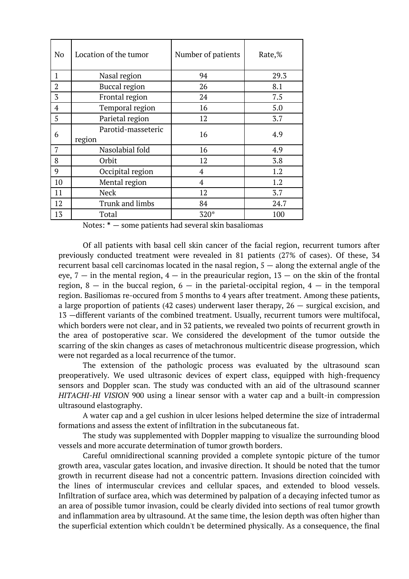| N <sub>o</sub> | Location of the tumor        | Number of patients | Rate,% |
|----------------|------------------------------|--------------------|--------|
| 1              | Nasal region                 | 94                 | 29.3   |
| $\overline{2}$ | <b>Buccal region</b>         | 26                 | 8.1    |
| 3              | Frontal region               | 24                 | 7.5    |
| $\overline{4}$ | Temporal region              | 16                 | 5.0    |
| 5              | Parietal region              | 12                 | 3.7    |
| 6              | Parotid-masseteric<br>region | 16                 | 4.9    |
| 7              | Nasolabial fold              | 16                 | 4.9    |
| 8              | Orbit                        | 12                 | 3.8    |
| 9              | Occipital region             | 4                  | 1.2    |
| 10             | Mental region                | $\overline{4}$     | 1.2    |
| 11             | Neck                         | 12                 | 3.7    |
| 12             | Trunk and limbs              | 84                 | 24.7   |
| 13             | Total                        | $320*$             | 100    |

Notes: \* — some patients had several skin basaliomas

Of all patients with basal cell skin cancer of the facial region, recurrent tumors after previously conducted treatment were revealed in 81 patients (27% of cases). Of these, 34 recurrent basal cell carcinomas located in the nasal region, 5 — along the external angle of the eye,  $7 -$  in the mental region,  $4 -$  in the preauricular region,  $13 -$  on the skin of the frontal region,  $8 -$  in the buccal region,  $6 -$  in the parietal-occipital region,  $4 -$  in the temporal region. Basiliomas re-occured from 5 months to 4 years after treatment. Among these patients, a large proportion of patients (42 cases) underwent laser therapy,  $26 -$  surgical excision, and 13 —different variants of the combined treatment. Usually, recurrent tumors were multifocal, which borders were not clear, and in 32 patients, we revealed two points of recurrent growth in the area of postoperative scar. We considered the development of the tumor outside the scarring of the skin changes as cases of metachronous multicentric disease progression, which were not regarded as a local recurrence of the tumor.

The extension of the pathologic process was evaluated by the ultrasound scan preoperatively. We used ultrasonic devices of expert class, equipped with high-frequency sensors and Doppler scan. The study was conducted with an aid of the ultrasound scanner *HITACHI-HI VISION* 900 using a linear sensor with a water cap and a built-in compression ultrasound elastography.

A water cap and a gel cushion in ulcer lesions helped determine the size of intradermal formations and assess the extent of infiltration in the subcutaneous fat.

The study was supplemented with Doppler mapping to visualize the surrounding blood vessels and more accurate determination of tumor growth borders.

Careful omnidirectional scanning provided a complete syntopic picture of the tumor growth area, vascular gates location, and invasive direction. It should be noted that the tumor growth in recurrent disease had not a concentric pattern. Invasions direction coincided with the lines of intermuscular crevices and cellular spaces, and extended to blood vessels. Infiltration of surface area, which was determined by palpation of a decaying infected tumor as an area of possible tumor invasion, could be clearly divided into sections of real tumor growth and inflammation area by ultrasound. At the same time, the lesion depth was often higher than the superficial extention which couldn't be determined physically. As a consequence, the final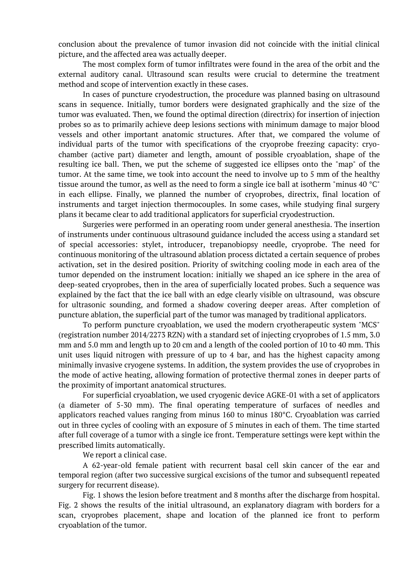conclusion about the prevalence of tumor invasion did not coincide with the initial clinical picture, and the affected area was actually deeper.

The most complex form of tumor infiltrates were found in the area of the orbit and the external auditory canal. Ultrasound scan results were crucial to determine the treatment method and scope of intervention exactly in these cases.

In cases of puncture cryodestruction, the procedure was planned basing on ultrasound scans in sequence. Initially, tumor borders were designated graphically and the size of the tumor was evaluated. Then, we found the optimal direction (directrix) for insertion of injection probes so as to primarily achieve deep lesions sections with minimum damage to major blood vessels and other important anatomic structures. After that, we compared the volume of individual parts of the tumor with specifications of the cryoprobe freezing capacity: cryochamber (active part) diameter and length, amount of possible cryoablation, shape of the resulting ice ball. Then, we put the scheme of suggested ice ellipses onto the "map" of the tumor. At the same time, we took into account the need to involve up to 5 mm of the healthy tissue around the tumor, as well as the need to form a single ice ball at isotherm "minus 40 °C" in each ellipse. Finally, we planned the number of cryoprobes, directrix, final location of instruments and target injection thermocouples. In some cases, while studying final surgery plans it became clear to add traditional applicators for superficial cryodestruction.

Surgeries were performed in an operating room under general anesthesia. The insertion of instruments under continuous ultrasound guidance included the access using a standard set of special accessories: stylet, introducer, trepanobiopsy needle, cryoprobe. The need for continuous monitoring of the ultrasound ablation process dictated a certain sequence of probes activation, set in the desired position. Priority of switching cooling mode in each area of the tumor depended on the instrument location: initially we shaped an ice sphere in the area of deep-seated cryoprobes, then in the area of superficially located probes. Such a sequence was explained by the fact that the ice ball with an edge clearly visible on ultrasound, was obscure for ultrasonic sounding, and formed a shadow covering deeper areas. After completion of puncture ablation, the superficial part of the tumor was managed by traditional applicators.

To perform puncture cryoablation, we used the modern cryotherapeutic system "MCS" (registration number 2014/2273 RZN) with a standard set of injecting cryoprobes of 1.5 mm, 3.0 mm and 5.0 mm and length up to 20 cm and a length of the cooled portion of 10 to 40 mm. This unit uses liquid nitrogen with pressure of up to 4 bar, and has the highest capacity among minimally invasive cryogene systems. In addition, the system provides the use of cryoprobes in the mode of active heating, allowing formation of protective thermal zones in deeper parts of the proximity of important anatomical structures.

For superficial cryoablation, we used cryogenic device AGKE-01 with a set of applicators (a diameter of 5-30 mm). The final operating temperature of surfaces of needles and applicators reached values ranging from minus 160 to minus 180°C. Cryoablation was carried out in three cycles of cooling with an exposure of 5 minutes in each of them. The time started after full coverage of a tumor with a single ice front. Temperature settings were kept within the prescribed limits automatically.

We report a clinical case.

A 62-year-old female patient with recurrent basal cell skin cancer of the ear and temporal region (after two successive surgical excisions of the tumor and subsequentl repeated surgery for recurrent disease).

Fig. 1 shows the lesion before treatment and 8 months after the discharge from hospital. Fig. 2 shows the results of the initial ultrasound, an explanatory diagram with borders for a scan, cryoprobes placement, shape and location of the planned ice front to perform cryoablation of the tumor.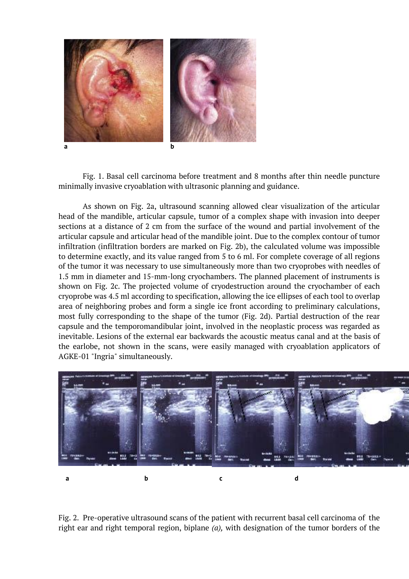

Fig. 1. Basal cell carcinoma before treatment and 8 months after thin needle puncture minimally invasive cryoablation with ultrasonic planning and guidance.

As shown on Fig. 2a, ultrasound scanning allowed clear visualization of the articular head of the mandible, articular capsule, tumor of a complex shape with invasion into deeper sections at a distance of 2 cm from the surface of the wound and partial involvement of the articular capsule and articular head of the mandible joint. Due to the complex contour of tumor infiltration (infiltration borders are marked on Fig. 2b), the calculated volume was impossible to determine exactly, and its value ranged from 5 to 6 ml. For complete coverage of all regions of the tumor it was necessary to use simultaneously more than two cryoprobes with needles of 1.5 mm in diameter and 15-mm-long cryochambers. The planned placement of instruments is shown on Fig. 2c. The projected volume of cryodestruction around the cryochamber of each cryoprobe was 4.5 ml according to specification, allowing the ice ellipses of each tool to overlap area of neighboring probes and form a single ice front according to preliminary calculations, most fully corresponding to the shape of the tumor (Fig. 2d). Partial destruction of the rear capsule and the temporomandibular joint, involved in the neoplastic process was regarded as inevitable. Lesions of the external ear backwards the acoustic meatus canal and at the basis of the earlobe, not shown in the scans, were easily managed with cryoablation applicators of AGKE-01 "Ingria" simultaneously.



Fig. 2. Pre-operative ultrasound scans of the patient with recurrent basal cell carcinoma of the right ear and right temporal region, biplane *(a),* with designation of the tumor borders of the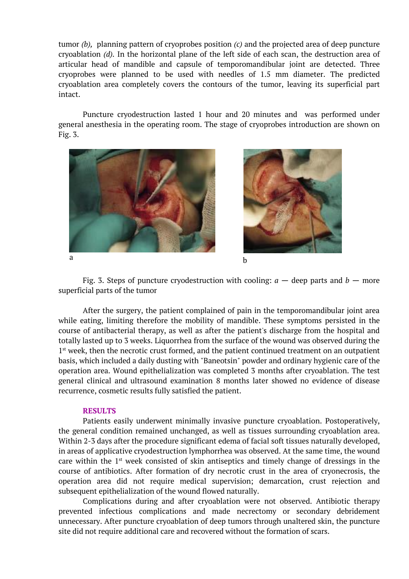tumor *(b),* planning pattern of cryoprobes position *(c)* and the projected area of deep puncture cryoablation *(d).* In the horizontal plane of the left side of each scan, the destruction area of articular head of mandible and capsule of temporomandibular joint are detected. Three cryoprobes were planned to be used with needles of 1.5 mm diameter. The predicted cryoablation area completely covers the contours of the tumor, leaving its superficial part intact.

Puncture cryodestruction lasted 1 hour and 20 minutes and was performed under general anesthesia in the operating room. The stage of cryoprobes introduction are shown on Fig. 3.



Fig. 3. Steps of puncture cryodestruction with cooling:  $a -$  deep parts and  $b -$  more superficial parts of the tumor

After the surgery, the patient complained of pain in the temporomandibular joint area while eating, limiting therefore the mobility of mandible. These symptoms persisted in the course of antibacterial therapy, as well as after the patient's discharge from the hospital and totally lasted up to 3 weeks. Liquorrhea from the surface of the wound was observed during the 1<sup>st</sup> week, then the necrotic crust formed, and the patient continued treatment on an outpatient basis, which included a daily dusting with "Baneotsin" powder and ordinary hygienic care of the operation area. Wound epithelialization was completed 3 months after cryoablation. The test general clinical and ultrasound examination 8 months later showed no evidence of disease recurrence, cosmetic results fully satisfied the patient.

### **RESULTS**

Patients easily underwent minimally invasive puncture cryoablation. Postoperatively, the general condition remained unchanged, as well as tissues surrounding cryoablation area. Within 2-3 days after the procedure significant edema of facial soft tissues naturally developed, in areas of applicative cryodestruction lymphorrhea was observed. At the same time, the wound care within the 1st week consisted of skin antiseptics and timely change of dressings in the course of antibiotics. After formation of dry necrotic crust in the area of cryonecrosis, the operation area did not require medical supervision; demarcation, crust rejection and subsequent epithelialization of the wound flowed naturally.

Complications during and after cryoablation were not observed. Antibiotic therapy prevented infectious complications and made necrectomy or secondary debridement unnecessary. After puncture cryoablation of deep tumors through unaltered skin, the puncture site did not require additional care and recovered without the formation of scars.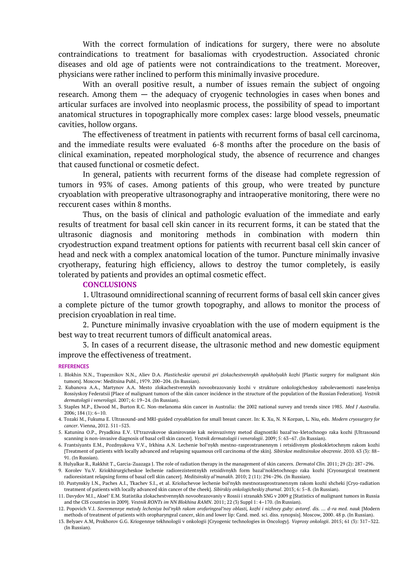With the correct formulation of indications for surgery, there were no absolute contraindications to treatment for basaliomas with cryodestruction. Associated chronic diseases and old age of patients were not contraindications to the treatment. Moreover, physicians were rather inclined to perform this minimally invasive procedure.

With an overall positive result, a number of issues remain the subject of ongoing research. Among them — the adequacy of cryogenic technologies in cases when bones and articular surfaces are involved into neoplasmic process, the possibility of spead to important anatomical structures in topographically more complex cases: large blood vessels, pneumatic cavities, hollow organs.

The effectiveness of treatment in patients with recurrent forms of basal cell carcinoma, and the immediate results were evaluated 6-8 months after the procedure on the basis of clinical examination, repeated morphological study, the absence of recurrence and changes that caused functional or cosmetic defect.

In general, patients with recurrent forms of the disease had complete regression of tumors in 93% of cases. Among patients of this group, who were treated by puncture cryoablation with preoperative ultrasonography and intraoperative monitoring, there were no reccurent cases within 8 months.

Thus, on the basis of clinical and pathologic evaluation of the immediate and early results of treatment for basal cell skin cancer in its recurrent forms, it can be stated that the ultrasonic diagnosis and monitoring methods in combination with modern thin cryodestruction expand treatment options for patients with recurrent basal cell skin cancer of head and neck with a complex anatomical location of the tumor. Puncture minimally invasive cryotherapy, featuring high efficiency, allows to destroy the tumor completely, is easily tolerated by patients and provides an optimal cosmetic effect.

#### **CONCLUSIONS**

1. Ultrasound omnidirectional scanning of recurrent forms of basal cell skin cancer gives a complete picture of the tumor growth topography, and allows to monitor the process of precision cryoablation in real time.

2. Puncture minimally invasive cryoablation with the use of modern equipment is the best way to treat recurrent tumors of difficult anatomical areas.

3. In cases of a recurrent disease, the ultrasonic method and new domestic equipment improve the effectiveness of treatment.

#### **REFERENCES**

- 2. Kubanova A.A., Martynov A.A. Mesto zlokachestvennykh novoobrazovaniy kozhi v strukture onkologicheskoy zabolevaemosti naseleniya Rossiyskoy Federatsii [Place of malignant tumors of the skin cancer incidence in the structure of the population of the Russian Federation]. *Vestnik dermatologii i venerologii*. 2007; 6: 19–24. (In Russian).
- 3. Staples M.P., Elwood M., Burton R.C. Non-melanoma skin cancer in Australia: the 2002 national survey and trends since 1985. *Med J Australia*. 2006; 184 (1): 6–10.
- 4. Tozaki M., Fukuma E. Ultrasound-and MRI-guided cryoablation for small breast cancer. In: K. Xu, N. N Korpan, L. Niu, eds. *Modern cryosurgery for cancer*. Vienna, 2012. 511–523.
- 5. Katunina O.P., Pryadkina E.V. Ul'trazvukovoe skanirovanie kak neinvazivnyy metod diagnostiki bazal'no-kletochnogo raka kozhi [Ultrasound scanning is non-invasive diagnosis of basal cell skin cancer]. *Vestnik dermatologii i venerologii*. 2009; 5: 63–67. (In Russian).
- 6. Frantsiyants E.M., Pozdnyakova V.V., Irkhina A.N. Lechenie bol'nykh mestno-rasprostranennym i retsidivnym ploskokletochnym rakom kozhi [Treatment of patients with locally advanced and relapsing squamous cell carcinoma of the skin]. *Sibirskoe meditsinskoe obozrenie*. 2010. 63 (3): 88– 91. (In Russian).
- 8. Hulyalkar R., Rakkhit T., Garcia-Zuazaga J. The role of radiation therapy in the management of skin cancers. *Dermatol Clin.* 2011; 29 (2): 287–296.
- 9. Korolev Yu.V. Kriokhirurgicheskoe lechenie radiorezistentnykh retsidivnykh form bazal'nokletochnogo raka kozhi [Cryosurgical treatment radioresistant relapsing forms of basal cell skin cancer]. *Meditsinskiy al'manakh*. 2010; 2 (11): 294–296. (In Russian).
- 10. Pustynskiy I.N., Paches A.I., Tkachev S.I., et al. Krioluchevoe lechenie bol'nykh mestnorasprostranennym rakom kozhi shcheki [Cryo-radiation treatment of patients with locally advanced skin cancer of the cheek]. *Sibirskiy onkologicheskiy zhurnal*. 2013; 6: 5–8. (In Russian).
- 11. Davydov M.I., Aksel' E.M. Statistika zlokachestvennykh novoobrazovaniy v Rossii i stranakh SNG v 2009 g [Statistics of malignant tumors in Russia and the CIS countries in 2009]. *Vestnik RONTs im NN Blokhina RAMN*. 2011; 22 (3) Suppl 1: 4–170. (In Russian).
- 12. Popovich V.I. *Sovremennye metody lecheniya bol'nykh rakom orofaringeal'noy oblasti, kozhi i nizhney guby: avtoref. dis. … d-ra med. nauk* [Modern methods of treatment of patients with oropharyngeal cancer, skin and lower lip: Cand. med. sci. diss. synopsis]. Moscow, 2000. 48 p. (In Russian).
- 13. Belyaev A.M, Prokhorov G.G. Kriogennye tekhnologii v onkologii [Cryogenic technologies in Oncology]. *Voprosy onkologii*. 2015; 61 (3): 317–322. (In Russian).

<sup>1.</sup> Blokhin N.N., Trapeznikov N.N., Aliev D.A. *Plasticheskie operatsii pri zlokachestvennykh opukholyakh kozhi* [Plastic surgery for malignant skin tumors]. Moscow: Meditsina Publ., 1979. 200–204. (In Russian).